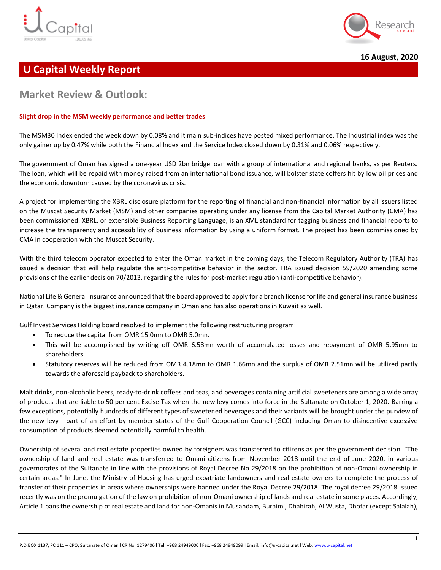



**16 August, 2020**

# **U Capital Weekly Report**

# **Market Review & Outlook:**

### **Slight drop in the MSM weekly performance and better trades**

The MSM30 Index ended the week down by 0.08% and it main sub-indices have posted mixed performance. The Industrial index was the only gainer up by 0.47% while both the Financial Index and the Service Index closed down by 0.31% and 0.06% respectively.

The government of Oman has signed a one-year USD 2bn bridge loan with a group of international and regional banks, as per Reuters. The loan, which will be repaid with money raised from an international bond issuance, will bolster state coffers hit by low oil prices and the economic downturn caused by the coronavirus crisis.

A project for implementing the XBRL disclosure platform for the reporting of financial and non-financial information by all issuers listed on the Muscat Security Market (MSM) and other companies operating under any license from the Capital Market Authority (CMA) has been commissioned. XBRL, or extensible Business Reporting Language, is an XML standard for tagging business and financial reports to increase the transparency and accessibility of business information by using a uniform format. The project has been commissioned by CMA in cooperation with the Muscat Security.

With the third telecom operator expected to enter the Oman market in the coming days, the Telecom Regulatory Authority (TRA) has issued a decision that will help regulate the anti-competitive behavior in the sector. TRA issued decision 59/2020 amending some provisions of the earlier decision 70/2013, regarding the rules for post-market regulation (anti-competitive behavior).

National Life & General Insurance announced that the board approved to apply for a branch license for life and general insurance business in Qatar. Company is the biggest insurance company in Oman and has also operations in Kuwait as well.

Gulf Invest Services Holding board resolved to implement the following restructuring program:

- To reduce the capital from OMR 15.0mn to OMR 5.0mn.
- This will be accomplished by writing off OMR 6.58mn worth of accumulated losses and repayment of OMR 5.95mn to shareholders.
- Statutory reserves will be reduced from OMR 4.18mn to OMR 1.66mn and the surplus of OMR 2.51mn will be utilized partly towards the aforesaid payback to shareholders.

Malt drinks, non-alcoholic beers, ready-to-drink coffees and teas, and beverages containing artificial sweeteners are among a wide array of products that are liable to 50 per cent Excise Tax when the new levy comes into force in the Sultanate on October 1, 2020. Barring a few exceptions, potentially hundreds of different types of sweetened beverages and their variants will be brought under the purview of the new levy - part of an effort by member states of the Gulf Cooperation Council (GCC) including Oman to disincentive excessive consumption of products deemed potentially harmful to health.

Ownership of several and real estate properties owned by foreigners was transferred to citizens as per the government decision. "The ownership of land and real estate was transferred to Omani citizens from November 2018 until the end of June 2020, in various governorates of the Sultanate in line with the provisions of Royal Decree No 29/2018 on the prohibition of non-Omani ownership in certain areas." In June, the Ministry of Housing has urged expatriate landowners and real estate owners to complete the process of transfer of their properties in areas where ownerships were banned under the Royal Decree 29/2018. The royal decree 29/2018 issued recently was on the promulgation of the law on prohibition of non-Omani ownership of lands and real estate in some places. Accordingly, Article 1 bans the ownership of real estate and land for non-Omanis in Musandam, Buraimi, Dhahirah, Al Wusta, Dhofar (except Salalah),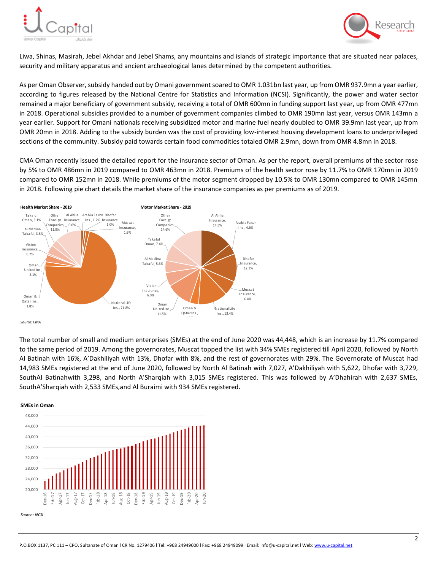



Liwa, Shinas, Masirah, Jebel Akhdar and Jebel Shams, any mountains and islands of strategic importance that are situated near palaces, security and military apparatus and ancient archaeological lanes determined by the competent authorities.

As per Oman Observer, subsidy handed out by Omani government soared to OMR 1.031bn last year, up from OMR 937.9mn a year earlier, according to figures released by the National Centre for Statistics and Information (NCSI). Significantly, the power and water sector remained a major beneficiary of government subsidy, receiving a total of OMR 600mn in funding support last year, up from OMR 477mn in 2018. Operational subsidies provided to a number of government companies climbed to OMR 190mn last year, versus OMR 143mn a year earlier. Support for Omani nationals receiving subsidized motor and marine fuel nearly doubled to OMR 39.9mn last year, up from OMR 20mn in 2018. Adding to the subsidy burden was the cost of providing low-interest housing development loans to underprivileged sections of the community. Subsidy paid towards certain food commodities totaled OMR 2.9mn, down from OMR 4.8mn in 2018.

CMA Oman recently issued the detailed report for the insurance sector of Oman. As per the report, overall premiums of the sector rose by 5% to OMR 486mn in 2019 compared to OMR 463mn in 2018. Premiums of the health sector rose by 11.7% to OMR 170mn in 2019 compared to OMR 152mn in 2018. While premiums of the motor segment dropped by 10.5% to OMR 130mn compared to OMR 145mn in 2018. Following pie chart details the market share of the insurance companies as per premiums as of 2019.



*Source: CMA* 

The total number of small and medium enterprises (SMEs) at the end of June 2020 was 44,448, which is an increase by 11.7% compared to the same period of 2019. Among the governorates, Muscat topped the list with 34% SMEs registered till April 2020, followed by North Al Batinah with 16%, A'Dakhiliyah with 13%, Dhofar with 8%, and the rest of governorates with 29%. The Governorate of Muscat had 14,983 SMEs registered at the end of June 2020, followed by North Al Batinah with 7,027, A'Dakhiliyah with 5,622, Dhofar with 3,729, SouthAl Batinahwith 3,298, and North A'Sharqiah with 3,015 SMEs registered. This was followed by A'Dhahirah with 2,637 SMEs, SouthA'Sharqiah with 2,533 SMEs,and Al Buraimi with 934 SMEs registered.

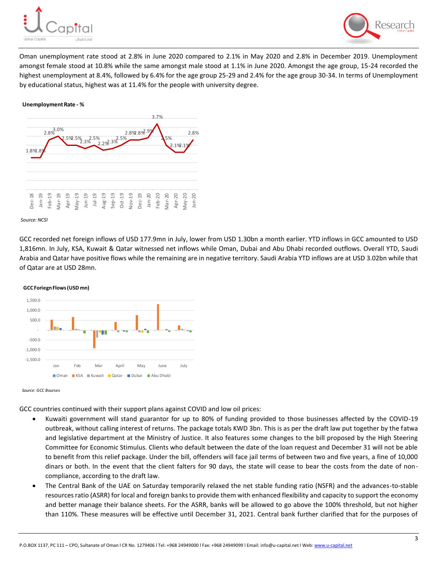



Oman unemployment rate stood at 2.8% in June 2020 compared to 2.1% in May 2020 and 2.8% in December 2019. Unemployment amongst female stood at 10.8% while the same amongst male stood at 1.1% in June 2020. Amongst the age group, 15-24 recorded the highest unemployment at 8.4%, followed by 6.4% for the age group 25-29 and 2.4% for the age group 30-34. In terms of Unemployment by educational status, highest was at 11.4% for the people with university degree.

#### **Unemployment Rate - %**



#### *Source: NCSI*

GCC recorded net foreign inflows of USD 177.9mn in July, lower from USD 1.30bn a month earlier. YTD inflows in GCC amounted to USD 1,816mn. In July, KSA, Kuwait & Qatar witnessed net inflows while Oman, Dubai and Abu Dhabi recorded outflows. Overall YTD, Saudi Arabia and Qatar have positive flows while the remaining are in negative territory. Saudi Arabia YTD inflows are at USD 3.02bn while that of Qatar are at USD 28mn.



*Source: GCC Bourses*

GCC countries continued with their support plans against COVID and low oil prices:

- Kuwaiti government will stand guarantor for up to 80% of funding provided to those businesses affected by the COVID-19 outbreak, without calling interest of returns. The package totals KWD 3bn. This is as per the draft law put together by the fatwa and legislative department at the Ministry of Justice. It also features some changes to the bill proposed by the High Steering Committee for Economic Stimulus. Clients who default between the date of the loan request and December 31 will not be able to benefit from this relief package. Under the bill, offenders will face jail terms of between two and five years, a fine of 10,000 dinars or both. In the event that the client falters for 90 days, the state will cease to bear the costs from the date of noncompliance, according to the draft law.
- The Central Bank of the UAE on Saturday temporarily relaxed the net stable funding ratio (NSFR) and the advances-to-stable resources ratio (ASRR) for local and foreign banks to provide them with enhanced flexibility and capacity to support the economy and better manage their balance sheets. For the ASRR, banks will be allowed to go above the 100% threshold, but not higher than 110%. These measures will be effective until December 31, 2021. Central bank further clarified that for the purposes of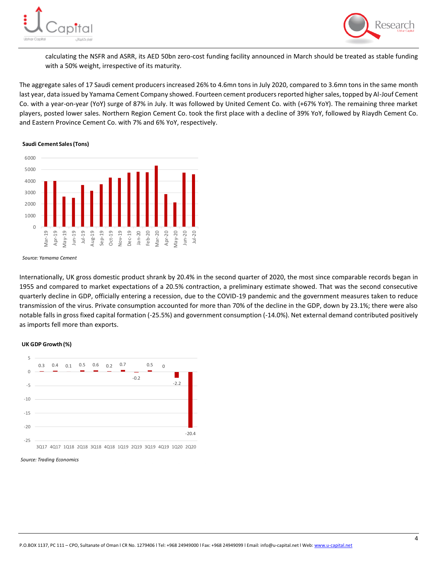



calculating the NSFR and ASRR, its AED 50bn zero-cost funding facility announced in March should be treated as stable funding with a 50% weight, irrespective of its maturity.

The aggregate sales of 17 Saudi cement producers increased 26% to 4.6mn tons in July 2020, compared to 3.6mn tons in the same month last year, data issued by Yamama Cement Company showed. Fourteen cement producers reported higher sales, topped by Al-Jouf Cement Co. with a year-on-year (YoY) surge of 87% in July. It was followed by United Cement Co. with (+67% YoY). The remaining three market players, posted lower sales. Northern Region Cement Co. took the first place with a decline of 39% YoY, followed by Riaydh Cement Co. and Eastern Province Cement Co. with 7% and 6% YoY, respectively.

#### **Saudi Cement Sales (Tons)**



*Source: Yamama Cement*

Internationally, UK gross domestic product shrank by 20.4% in the second quarter of 2020, the most since comparable records began in 1955 and compared to market expectations of a 20.5% contraction, a preliminary estimate showed. That was the second consecutive quarterly decline in GDP, officially entering a recession, due to the COVID-19 pandemic and the government measures taken to reduce transmission of the virus. Private consumption accounted for more than 70% of the decline in the GDP, down by 23.1%; there were also notable falls in gross fixed capital formation (-25.5%) and government consumption (-14.0%). Net external demand contributed positively as imports fell more than exports.

### **UK GDP Growth (%)**



*Source: Trading Economics*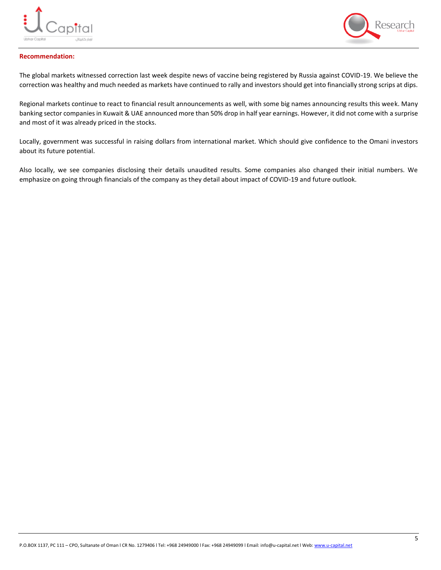



### **Recommendation:**

The global markets witnessed correction last week despite news of vaccine being registered by Russia against COVID-19. We believe the correction was healthy and much needed as markets have continued to rally and investors should get into financially strong scrips at dips.

Regional markets continue to react to financial result announcements as well, with some big names announcing results this week. Many banking sector companies in Kuwait & UAE announced more than 50% drop in half year earnings. However, it did not come with a surprise and most of it was already priced in the stocks.

Locally, government was successful in raising dollars from international market. Which should give confidence to the Omani investors about its future potential.

Also locally, we see companies disclosing their details unaudited results. Some companies also changed their initial numbers. We emphasize on going through financials of the company as they detail about impact of COVID-19 and future outlook.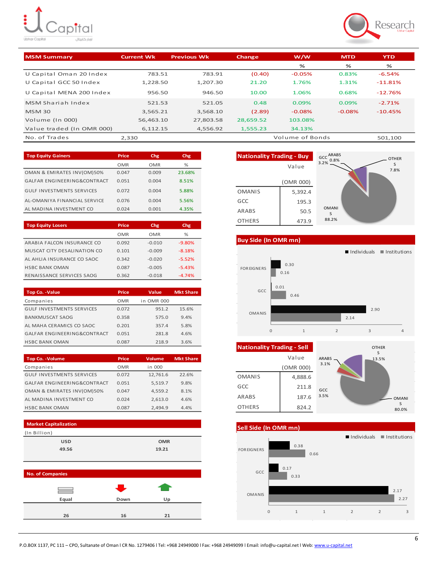# ŧ. )<br>Capital .<br>اوبار کاپیتال



| <b>MSM Summary</b>        | <b>Current Wk</b> | <b>Previous Wk</b> | Change    | w/w             | <b>MTD</b> | <b>YTD</b> |
|---------------------------|-------------------|--------------------|-----------|-----------------|------------|------------|
|                           |                   |                    |           | %               | %          | ℅          |
| U Capital Oman 20 Index   | 783.51            | 783.91             | (0.40)    | $-0.05%$        | 0.83%      | $-6.54%$   |
| U Capital GCC 50 Index    | 1.228.50          | 1.207.30           | 21.20     | 1.76%           | 1.31%      | $-11.81%$  |
| U Capital MENA 200 Index  | 956.50            | 946.50             | 10.00     | 1.06%           | 0.68%      | $-12.76%$  |
| MSM Shariah Index         | 521.53            | 521.05             | 0.48      | 0.09%           | 0.09%      | $-2.71%$   |
| <b>MSM 30</b>             | 3.565.21          | 3.568.10           | (2.89)    | $-0.08%$        | $-0.08%$   | $-10.45%$  |
| Volume (In 000)           | 56.463.10         | 27.803.58          | 28.659.52 | 103.08%         |            |            |
| Value traded (In OMR 000) | 6.112.15          | 4.556.92           | 1.555.23  | 34.13%          |            |            |
| No. of Trades             | 2.330             |                    |           | Volume of Bonds |            | 501.100    |

| <b>Top Equity Gainers</b>        | Price | Chg   | Chg    |
|----------------------------------|-------|-------|--------|
|                                  | OMR   | OMR   | %      |
| OMAN & EMIRATES INV(OM)50%       | 0.047 | 0.009 | 23.68% |
| GALFAR ENGINEERING&CONTRACT      | 0.051 | 0.004 | 8.51%  |
| <b>GULF INVESTMENTS SERVICES</b> | 0.072 | 0.004 | 5.88%  |
| AL-OMANIYA FINANCIAL SERVICE     | 0.076 | 0.004 | 5.56%  |
| AL MADINA INVESTMENT CO          | 0.024 | 0.001 | 4.35%  |

| <b>Top Equity Losers</b>    | Price | Chg      | Chg      |
|-----------------------------|-------|----------|----------|
|                             | OMR   | OMR      | $\%$     |
| ARABIA FALCON INSURANCE CO  | 0.092 | $-0.010$ | $-9.80%$ |
| MUSCAT CITY DESALINATION CO | 0.101 | $-0.009$ | $-8.18%$ |
| AL AHLIA INSURANCE CO SAOC  | 0.342 | $-0.020$ | $-5.52%$ |
| <b>HSBC BANK OMAN</b>       | 0.087 | $-0.005$ | $-5.43%$ |
| RENAISSANCE SERVICES SAOG   | 0.362 | $-0.018$ | $-4.74%$ |

| <b>Top Co. - Value</b>           | Price      | Value      | <b>Mkt Share</b> |
|----------------------------------|------------|------------|------------------|
| Companies                        | <b>OMR</b> | in OMR 000 |                  |
| <b>GULF INVESTMENTS SERVICES</b> | 0.072      | 951.2      | 15.6%            |
| <b>BANKMUSCAT SAOG</b>           | 0.358      | 575.0      | 9.4%             |
| AL MAHA CERAMICS CO SAOC         | 0.201      | 357.4      | 5.8%             |
| GALFAR ENGINEERING&CONTRACT      | 0.051      | 281.8      | 4.6%             |
| <b>HSBC BANK OMAN</b>            | 0.087      | 218.9      | 3.6%             |

| <b>Top Co. - Volume</b>          | Price      | Volume   | <b>Mkt Share</b> |
|----------------------------------|------------|----------|------------------|
| Companies                        | <b>OMR</b> | in 000   |                  |
| <b>GULF INVESTMENTS SERVICES</b> | 0.072      | 12,761.6 | 22.6%            |
| GALFAR ENGINEERING&CONTRACT      | 0.051      | 5,519.7  | 9.8%             |
| OMAN & EMIRATES INV(OM)50%       | 0.047      | 4.559.2  | 8.1%             |
| AL MADINA INVESTMENT CO          | 0.024      | 2,613.0  | 4.6%             |
| <b>HSBC BANK OMAN</b>            | 0.087      | 2.494.9  | 4.4%             |





**Buy Side (In OMR mn)**



| <b>Nationality Trading - Sell</b> |           | <b>OTHER</b>               |
|-----------------------------------|-----------|----------------------------|
|                                   | Value     | S<br><b>ARABS</b><br>13.5% |
|                                   | (OMR 000) | 3.1%                       |
| <b>OMANIS</b>                     | 4,888.6   |                            |
| GCC                               | 211.8     | GCC                        |
| <b>ARABS</b>                      | 187.6     | 3.5%<br><b>OMANI</b>       |
| <b>OTHERS</b>                     | 824.2     | S<br>80.0%                 |

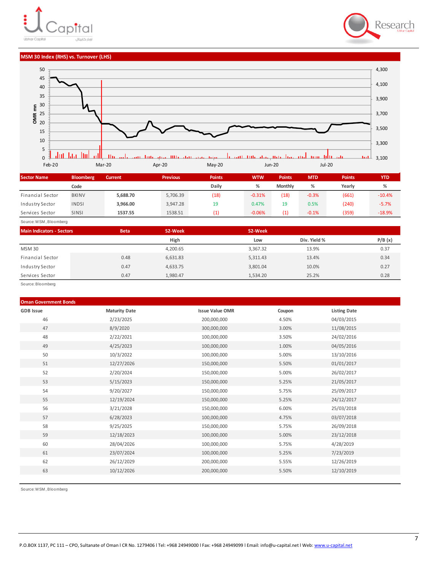# lpital أويار كابيتال United Carolin



#### **MSM 30 Index (RHS) vs. Turnover (LHS)**



| <b>Sector Name</b> | <b>Bloomberg</b> | <b>Current</b> | <b>Previous</b> | <b>Points</b> | <b>WTW</b> | <b>Points</b>  | <b>MTD</b> | <b>Points</b> | <b>YTD</b> |
|--------------------|------------------|----------------|-----------------|---------------|------------|----------------|------------|---------------|------------|
|                    | Code             |                |                 | Daily         | %          | <b>Monthly</b> | ℅          | Yearly        | %          |
| Financial Sector   | <b>BKINV</b>     | 5,688.70       | 5,706.39        | (18)          | $-0.31%$   | (18)           | $-0.3%$    | (661)         | $-10.4%$   |
| Industry Sector    | <b>INDSI</b>     | 3.966.00       | 3.947.28        | 19            | 0.47%      | 19             | 0.5%       | (240)         | $-5.7%$    |
| Services Sector    | <b>SINSI</b>     | 1537.55        | 1538.51         |               | $-0.06%$   | (1)            | $-0.1%$    | (359)         | $-18.9%$   |

Source: M SM , Bloomberg

| <b>Main Indicators - Sectors</b> | <b>Beta</b> | 52-Week  | 52-Week  |              |        |
|----------------------------------|-------------|----------|----------|--------------|--------|
|                                  |             | High     | Low      | Div. Yield % | P/B(x) |
| <b>MSM30</b>                     |             | 4,200.65 | 3,367.32 | 13.9%        | 0.37   |
| Financial Sector                 | 0.48        | 6,631.83 | 5,311.43 | 13.4%        | 0.34   |
| Industry Sector                  | 0.47        | 4,633.75 | 3,801.04 | 10.0%        | 0.27   |
| Services Sector                  | 0.47        | 1,980.47 | 1.534.20 | 25.2%        | 0.28   |

Source: Bloomberg

### **Oman Government Bonds**

| <b>GDB</b> Issue | <b>Maturity Date</b> | <b>Issue Value OMR</b> | Coupon | <b>Listing Date</b> |
|------------------|----------------------|------------------------|--------|---------------------|
| 46               | 2/23/2025            | 200,000,000            | 4.50%  | 04/03/2015          |
| 47               | 8/9/2020             | 300,000,000            | 3.00%  | 11/08/2015          |
| 48               | 2/22/2021            | 100,000,000            | 3.50%  | 24/02/2016          |
| 49               | 4/25/2023            | 100,000,000            | 1.00%  | 04/05/2016          |
| 50               | 10/3/2022            | 100,000,000            | 5.00%  | 13/10/2016          |
| 51               | 12/27/2026           | 150,000,000            | 5.50%  | 01/01/2017          |
| 52               | 2/20/2024            | 150,000,000            | 5.00%  | 26/02/2017          |
| 53               | 5/15/2023            | 150,000,000            | 5.25%  | 21/05/2017          |
| 54               | 9/20/2027            | 150,000,000            | 5.75%  | 25/09/2017          |
| 55               | 12/19/2024           | 150,000,000            | 5.25%  | 24/12/2017          |
| 56               | 3/21/2028            | 150,000,000            | 6.00%  | 25/03/2018          |
| 57               | 6/28/2023            | 100,000,000            | 4.75%  | 03/07/2018          |
| 58               | 9/25/2025            | 150,000,000            | 5.75%  | 26/09/2018          |
| 59               | 12/18/2023           | 100,000,000            | 5.00%  | 23/12/2018          |
| 60               | 28/04/2026           | 100,000,000            | 5.75%  | 4/28/2019           |
| 61               | 23/07/2024           | 100,000,000            | 5.25%  | 7/23/2019           |
| 62               | 26/12/2029           | 200,000,000            | 5.55%  | 12/26/2019          |
| 63               | 10/12/2026           | 200,000,000            | 5.50%  | 12/10/2019          |
|                  |                      |                        |        |                     |

Source: M SM , Bloomberg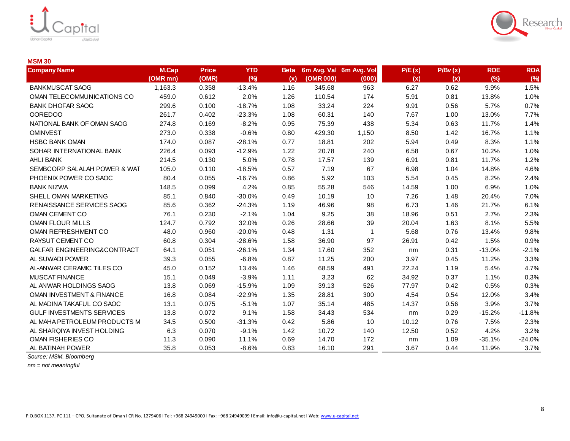



### **MSM 30**

| <b>Company Name</b>              | <b>M.Cap</b><br>(OMR mn) | <b>Price</b><br>(OMR) | <b>YTD</b><br>(%) | <b>Beta</b><br>(x) | (OMR 000) | 6m Avg. Val 6m Avg. Vol<br>(000) | P/E(x)<br>(x) | P/Bv(x)<br>(x) | <b>ROE</b><br>(%) | <b>ROA</b><br>(%) |
|----------------------------------|--------------------------|-----------------------|-------------------|--------------------|-----------|----------------------------------|---------------|----------------|-------------------|-------------------|
| <b>BANKMUSCAT SAOG</b>           | 1,163.3                  | 0.358                 | $-13.4%$          | 1.16               | 345.68    | 963                              | 6.27          | 0.62           | 9.9%              | 1.5%              |
| OMAN TELECOMMUNICATIONS CO       | 459.0                    | 0.612                 | 2.0%              | 1.26               | 110.54    | 174                              | 5.91          | 0.81           | 13.8%             | 1.0%              |
| <b>BANK DHOFAR SAOG</b>          | 299.6                    | 0.100                 | $-18.7%$          | 1.08               | 33.24     | 224                              | 9.91          | 0.56           | 5.7%              | 0.7%              |
| <b>OOREDOO</b>                   | 261.7                    | 0.402                 | $-23.3%$          | 1.08               | 60.31     | 140                              | 7.67          | 1.00           | 13.0%             | 7.7%              |
| NATIONAL BANK OF OMAN SAOG       | 274.8                    | 0.169                 | $-8.2%$           | 0.95               | 75.39     | 438                              | 5.34          | 0.63           | 11.7%             | 1.4%              |
| <b>OMINVEST</b>                  | 273.0                    | 0.338                 | $-0.6%$           | 0.80               | 429.30    | 1,150                            | 8.50          | 1.42           | 16.7%             | 1.1%              |
| <b>HSBC BANK OMAN</b>            | 174.0                    | 0.087                 | $-28.1%$          | 0.77               | 18.81     | 202                              | 5.94          | 0.49           | 8.3%              | 1.1%              |
| SOHAR INTERNATIONAL BANK         | 226.4                    | 0.093                 | $-12.9%$          | 1.22               | 20.78     | 240                              | 6.58          | 0.67           | 10.2%             | 1.0%              |
| AHLI BANK                        | 214.5                    | 0.130                 | 5.0%              | 0.78               | 17.57     | 139                              | 6.91          | 0.81           | 11.7%             | 1.2%              |
| SEMBCORP SALALAH POWER & WAT     | 105.0                    | 0.110                 | $-18.5%$          | 0.57               | 7.19      | 67                               | 6.98          | 1.04           | 14.8%             | 4.6%              |
| PHOENIX POWER CO SAOC            | 80.4                     | 0.055                 | $-16.7%$          | 0.86               | 5.92      | 103                              | 5.54          | 0.45           | 8.2%              | 2.4%              |
| <b>BANK NIZWA</b>                | 148.5                    | 0.099                 | 4.2%              | 0.85               | 55.28     | 546                              | 14.59         | 1.00           | 6.9%              | 1.0%              |
| SHELL OMAN MARKETING             | 85.1                     | 0.840                 | $-30.0%$          | 0.49               | 10.19     | 10                               | 7.26          | 1.48           | 20.4%             | 7.0%              |
| RENAISSANCE SERVICES SAOG        | 85.6                     | 0.362                 | $-24.3%$          | 1.19               | 46.96     | 98                               | 6.73          | 1.46           | 21.7%             | 6.1%              |
| OMAN CEMENT CO                   | 76.1                     | 0.230                 | $-2.1%$           | 1.04               | 9.25      | 38                               | 18.96         | 0.51           | 2.7%              | 2.3%              |
| <b>OMAN FLOUR MILLS</b>          | 124.7                    | 0.792                 | 32.0%             | 0.26               | 28.66     | 39                               | 20.04         | 1.63           | 8.1%              | 5.5%              |
| OMAN REFRESHMENT CO              | 48.0                     | 0.960                 | $-20.0%$          | 0.48               | 1.31      | 1                                | 5.68          | 0.76           | 13.4%             | 9.8%              |
| RAYSUT CEMENT CO                 | 60.8                     | 0.304                 | $-28.6%$          | 1.58               | 36.90     | 97                               | 26.91         | 0.42           | 1.5%              | 0.9%              |
| GALFAR ENGINEERING&CONTRACT      | 64.1                     | 0.051                 | $-26.1%$          | 1.34               | 17.60     | 352                              | nm            | 0.31           | $-13.0%$          | $-2.1%$           |
| AL SUWADI POWER                  | 39.3                     | 0.055                 | $-6.8%$           | 0.87               | 11.25     | 200                              | 3.97          | 0.45           | 11.2%             | 3.3%              |
| AL-ANWAR CERAMIC TILES CO        | 45.0                     | 0.152                 | 13.4%             | 1.46               | 68.59     | 491                              | 22.24         | 1.19           | 5.4%              | 4.7%              |
| MUSCAT FINANCE                   | 15.1                     | 0.049                 | $-3.9%$           | 1.11               | 3.23      | 62                               | 34.92         | 0.37           | 1.1%              | 0.3%              |
| AL ANWAR HOLDINGS SAOG           | 13.8                     | 0.069                 | $-15.9%$          | 1.09               | 39.13     | 526                              | 77.97         | 0.42           | 0.5%              | 0.3%              |
| OMAN INVESTMENT & FINANCE        | 16.8                     | 0.084                 | $-22.9%$          | 1.35               | 28.81     | 300                              | 4.54          | 0.54           | 12.0%             | 3.4%              |
| AL MADINA TAKAFUL CO SAOC        | 13.1                     | 0.075                 | $-5.1%$           | 1.07               | 35.14     | 485                              | 14.37         | 0.56           | 3.9%              | 3.7%              |
| <b>GULF INVESTMENTS SERVICES</b> | 13.8                     | 0.072                 | 9.1%              | 1.58               | 34.43     | 534                              | nm            | 0.29           | $-15.2%$          | $-11.8%$          |
| AL MAHA PETROLEUM PRODUCTS M     | 34.5                     | 0.500                 | $-31.3%$          | 0.42               | 5.86      | 10                               | 10.12         | 0.76           | 7.5%              | 2.3%              |
| AL SHARQIYA INVEST HOLDING       | 6.3                      | 0.070                 | $-9.1%$           | 1.42               | 10.72     | 140                              | 12.50         | 0.52           | 4.2%              | 3.2%              |
| OMAN FISHERIES CO                | 11.3                     | 0.090                 | 11.1%             | 0.69               | 14.70     | 172                              | nm            | 1.09           | $-35.1%$          | $-24.0%$          |
| AL BATINAH POWER                 | 35.8                     | 0.053                 | $-8.6%$           | 0.83               | 16.10     | 291                              | 3.67          | 0.44           | 11.9%             | 3.7%              |

*Source: MSM, Bloomberg*

*nm = not meaningful*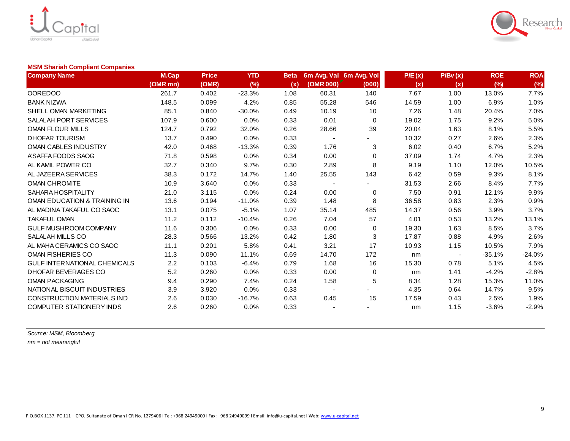



### **MSM Shariah Compliant Companies**

| <b>Company Name</b>                 | M.Cap    | <b>Price</b> | <b>YTD</b> | <b>Beta</b> |                          | 6m Avg. Val 6m Avg. Vol | P/E(x) | P/Bv(x) | <b>ROE</b> | <b>ROA</b> |
|-------------------------------------|----------|--------------|------------|-------------|--------------------------|-------------------------|--------|---------|------------|------------|
|                                     | (OMR mn) | (OMR)        | (%)        | (x)         | (OMR 000)                | (000)                   | (x)    | (x)     | (%)        | (%)        |
| <b>OOREDOO</b>                      | 261.7    | 0.402        | $-23.3%$   | 1.08        | 60.31                    | 140                     | 7.67   | 1.00    | 13.0%      | 7.7%       |
| <b>BANK NIZWA</b>                   | 148.5    | 0.099        | 4.2%       | 0.85        | 55.28                    | 546                     | 14.59  | 1.00    | 6.9%       | 1.0%       |
| SHELL OMAN MARKETING                | 85.1     | 0.840        | $-30.0%$   | 0.49        | 10.19                    | 10                      | 7.26   | 1.48    | 20.4%      | 7.0%       |
| SALALAH PORT SERVICES               | 107.9    | 0.600        | 0.0%       | 0.33        | 0.01                     | 0                       | 19.02  | 1.75    | 9.2%       | 5.0%       |
| OMAN FLOUR MILLS                    | 124.7    | 0.792        | 32.0%      | 0.26        | 28.66                    | 39                      | 20.04  | 1.63    | 8.1%       | 5.5%       |
| <b>DHOFAR TOURISM</b>               | 13.7     | 0.490        | 0.0%       | 0.33        | $\overline{\phantom{a}}$ |                         | 10.32  | 0.27    | 2.6%       | 2.3%       |
| OMAN CABLES INDUSTRY                | 42.0     | 0.468        | $-13.3%$   | 0.39        | 1.76                     | 3                       | 6.02   | 0.40    | 6.7%       | 5.2%       |
| A'SAFFA FOODS SAOG                  | 71.8     | 0.598        | 0.0%       | 0.34        | 0.00                     | 0                       | 37.09  | 1.74    | 4.7%       | 2.3%       |
| AL KAMIL POWER CO                   | 32.7     | 0.340        | 9.7%       | 0.30        | 2.89                     | 8                       | 9.19   | 1.10    | 12.0%      | 10.5%      |
| AL JAZEERA SERVICES                 | 38.3     | 0.172        | 14.7%      | 1.40        | 25.55                    | 143                     | 6.42   | 0.59    | 9.3%       | 8.1%       |
| <b>OMAN CHROMITE</b>                | 10.9     | 3.640        | 0.0%       | 0.33        |                          |                         | 31.53  | 2.66    | 8.4%       | 7.7%       |
| SAHARA HOSPITALITY                  | 21.0     | 3.115        | 0.0%       | 0.24        | 0.00                     | 0                       | 7.50   | 0.91    | 12.1%      | 9.9%       |
| OMAN EDUCATION & TRAINING IN        | 13.6     | 0.194        | $-11.0%$   | 0.39        | 1.48                     | 8                       | 36.58  | 0.83    | 2.3%       | 0.9%       |
| AL MADINA TAKAFUL CO SAOC           | 13.1     | 0.075        | $-5.1%$    | 1.07        | 35.14                    | 485                     | 14.37  | 0.56    | 3.9%       | 3.7%       |
| <b>TAKAFUL OMAN</b>                 | 11.2     | 0.112        | $-10.4%$   | 0.26        | 7.04                     | 57                      | 4.01   | 0.53    | 13.2%      | 13.1%      |
| GULF MUSHROOM COMPANY               | 11.6     | 0.306        | 0.0%       | 0.33        | 0.00                     | 0                       | 19.30  | 1.63    | 8.5%       | 3.7%       |
| SALALAH MILLS CO                    | 28.3     | 0.566        | 13.2%      | 0.42        | 1.80                     | 3                       | 17.87  | 0.88    | 4.9%       | 2.6%       |
| AL MAHA CERAMICS CO SAOC            | 11.1     | 0.201        | 5.8%       | 0.41        | 3.21                     | 17                      | 10.93  | 1.15    | 10.5%      | 7.9%       |
| OMAN FISHERIES CO                   | 11.3     | 0.090        | 11.1%      | 0.69        | 14.70                    | 172                     | nm     |         | $-35.1%$   | $-24.0%$   |
| <b>GULF INTERNATIONAL CHEMICALS</b> | 2.2      | 0.103        | $-6.4%$    | 0.79        | 1.68                     | 16                      | 15.30  | 0.78    | 5.1%       | 4.5%       |
| DHOFAR BEVERAGES CO                 | 5.2      | 0.260        | 0.0%       | 0.33        | 0.00                     | 0                       | nm     | 1.41    | $-4.2%$    | $-2.8%$    |
| <b>OMAN PACKAGING</b>               | 9.4      | 0.290        | 7.4%       | 0.24        | 1.58                     | 5                       | 8.34   | 1.28    | 15.3%      | 11.0%      |
| NATIONAL BISCUIT INDUSTRIES         | 3.9      | 3.920        | 0.0%       | 0.33        | $\overline{\phantom{a}}$ |                         | 4.35   | 0.64    | 14.7%      | 9.5%       |
| <b>CONSTRUCTION MATERIALS IND</b>   | 2.6      | 0.030        | $-16.7%$   | 0.63        | 0.45                     | 15                      | 17.59  | 0.43    | 2.5%       | 1.9%       |
| <b>COMPUTER STATIONERY INDS</b>     | 2.6      | 0.260        | 0.0%       | 0.33        |                          |                         | nm     | 1.15    | $-3.6%$    | $-2.9%$    |

*Source: MSM, Bloomberg nm = not meaningful*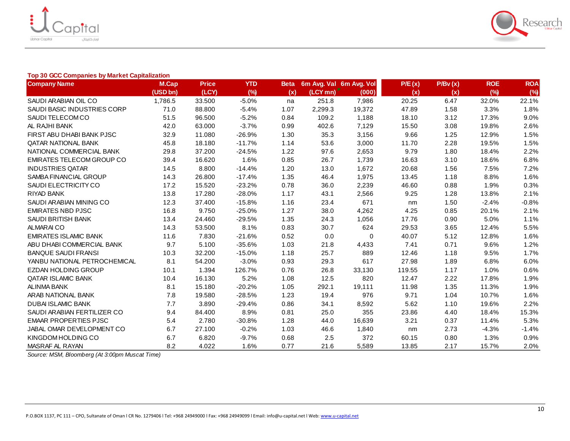



### **Top 30 GCC Companies by Market Capitalization**

| <b>Company Name</b>              | M.Cap    | <b>Price</b> | <b>YTD</b> | <b>Beta</b> | 6m Avg. Val 6m Avg. Vol              |        | P/E(x) | P/Bv(x) | <b>ROE</b> | <b>ROA</b> |
|----------------------------------|----------|--------------|------------|-------------|--------------------------------------|--------|--------|---------|------------|------------|
|                                  | (USD bn) | (LCY)        | (%)        | (x)         | $(LCY$ mn) <sup><math>r</math></sup> | (000)  | (x)    | (x)     | (%)        | (%)        |
| SAUDI ARABIAN OIL CO             | 1,786.5  | 33.500       | $-5.0%$    | na          | 251.8                                | 7,986  | 20.25  | 6.47    | 32.0%      | 22.1%      |
| SAUDI BASIC INDUSTRIES CORP      | 71.0     | 88.800       | $-5.4%$    | 1.07        | 2,299.3                              | 19,372 | 47.89  | 1.58    | 3.3%       | 1.8%       |
| SAUDI TELECOM CO                 | 51.5     | 96.500       | $-5.2%$    | 0.84        | 109.2                                | 1,188  | 18.10  | 3.12    | 17.3%      | 9.0%       |
| AL RAJHI BANK                    | 42.0     | 63.000       | $-3.7%$    | 0.99        | 402.6                                | 7,129  | 15.50  | 3.08    | 19.8%      | 2.6%       |
| FIRST ABU DHABI BANK PJSC        | 32.9     | 11.080       | $-26.9%$   | 1.30        | 35.3                                 | 3,156  | 9.66   | 1.25    | 12.9%      | 1.5%       |
| QATAR NATIONAL BANK              | 45.8     | 18.180       | $-11.7%$   | 1.14        | 53.6                                 | 3,000  | 11.70  | 2.28    | 19.5%      | 1.5%       |
| NATIONAL COMMERCIAL BANK         | 29.8     | 37.200       | $-24.5%$   | 1.22        | 97.6                                 | 2,653  | 9.79   | 1.80    | 18.4%      | 2.2%       |
| <b>EMIRATES TELECOM GROUP CO</b> | 39.4     | 16.620       | 1.6%       | 0.85        | 26.7                                 | 1,739  | 16.63  | 3.10    | 18.6%      | 6.8%       |
| <b>INDUSTRIES QATAR</b>          | 14.5     | 8.800        | $-14.4%$   | 1.20        | 13.0                                 | 1,672  | 20.68  | 1.56    | 7.5%       | 7.2%       |
| SAMBA FINANCIAL GROUP            | 14.3     | 26.800       | $-17.4%$   | 1.35        | 46.4                                 | 1,975  | 13.45  | 1.18    | 8.8%       | 1.6%       |
| SAUDI ELECTRICITY CO             | 17.2     | 15.520       | $-23.2%$   | 0.78        | 36.0                                 | 2,239  | 46.60  | 0.88    | 1.9%       | 0.3%       |
| RIYAD BANK                       | 13.8     | 17.280       | $-28.0%$   | 1.17        | 43.1                                 | 2,566  | 9.25   | 1.28    | 13.8%      | 2.1%       |
| SAUDI ARABIAN MINING CO          | 12.3     | 37.400       | $-15.8%$   | 1.16        | 23.4                                 | 671    | nm     | 1.50    | $-2.4%$    | $-0.8%$    |
| <b>EMIRATES NBD PJSC</b>         | 16.8     | 9.750        | $-25.0%$   | 1.27        | 38.0                                 | 4,262  | 4.25   | 0.85    | 20.1%      | 2.1%       |
| SAUDI BRITISH BANK               | 13.4     | 24.460       | $-29.5%$   | 1.35        | 24.3                                 | 1,056  | 17.76  | 0.90    | 5.0%       | 1.1%       |
| <b>ALMARAICO</b>                 | 14.3     | 53.500       | 8.1%       | 0.83        | 30.7                                 | 624    | 29.53  | 3.65    | 12.4%      | 5.5%       |
| <b>EMIRATES ISLAMIC BANK</b>     | 11.6     | 7.830        | $-21.6%$   | 0.52        | 0.0                                  | 0      | 40.07  | 5.12    | 12.8%      | 1.6%       |
| ABU DHABI COMMERCIAL BANK        | 9.7      | 5.100        | $-35.6%$   | 1.03        | 21.8                                 | 4,433  | 7.41   | 0.71    | 9.6%       | 1.2%       |
| <b>BANQUE SAUDI FRANSI</b>       | 10.3     | 32.200       | $-15.0%$   | 1.18        | 25.7                                 | 889    | 12.46  | 1.18    | 9.5%       | 1.7%       |
| YANBU NATIONAL PETROCHEMICAL     | 8.1      | 54.200       | $-3.0%$    | 0.93        | 29.3                                 | 617    | 27.98  | 1.89    | 6.8%       | 6.0%       |
| <b>EZDAN HOLDING GROUP</b>       | 10.1     | 1.394        | 126.7%     | 0.76        | 26.8                                 | 33,130 | 119.55 | 1.17    | 1.0%       | 0.6%       |
| QATAR ISLAMIC BANK               | 10.4     | 16.130       | 5.2%       | 1.08        | 12.5                                 | 820    | 12.47  | 2.22    | 17.8%      | 1.9%       |
| <b>ALINMA BANK</b>               | 8.1      | 15.180       | $-20.2%$   | 1.05        | 292.1                                | 19,111 | 11.98  | 1.35    | 11.3%      | 1.9%       |
| ARAB NATIONAL BANK               | 7.8      | 19.580       | $-28.5%$   | 1.23        | 19.4                                 | 976    | 9.71   | 1.04    | 10.7%      | 1.6%       |
| <b>DUBAI ISLAMIC BANK</b>        | 7.7      | 3.890        | $-29.4%$   | 0.86        | 34.1                                 | 8,592  | 5.62   | 1.10    | 19.6%      | 2.2%       |
| SAUDI ARABIAN FERTILIZER CO      | 9.4      | 84.400       | 8.9%       | 0.81        | 25.0                                 | 355    | 23.86  | 4.40    | 18.4%      | 15.3%      |
| <b>EMAAR PROPERTIES PJSC</b>     | 5.4      | 2.780        | $-30.8%$   | 1.28        | 44.0                                 | 16,639 | 3.21   | 0.37    | 11.4%      | 5.3%       |
| JABAL OMAR DEVELOPMENT CO        | 6.7      | 27.100       | $-0.2%$    | 1.03        | 46.6                                 | 1,840  | nm     | 2.73    | $-4.3%$    | $-1.4%$    |
| KINGDOM HOLDING CO               | 6.7      | 6.820        | $-9.7%$    | 0.68        | 2.5                                  | 372    | 60.15  | 0.80    | 1.3%       | 0.9%       |
| MASRAF AL RAYAN                  | 8.2      | 4.022        | 1.6%       | 0.77        | 21.6                                 | 5,589  | 13.85  | 2.17    | 15.7%      | 2.0%       |

*Source: MSM, Bloomberg (At 3:00pm Muscat Time)*